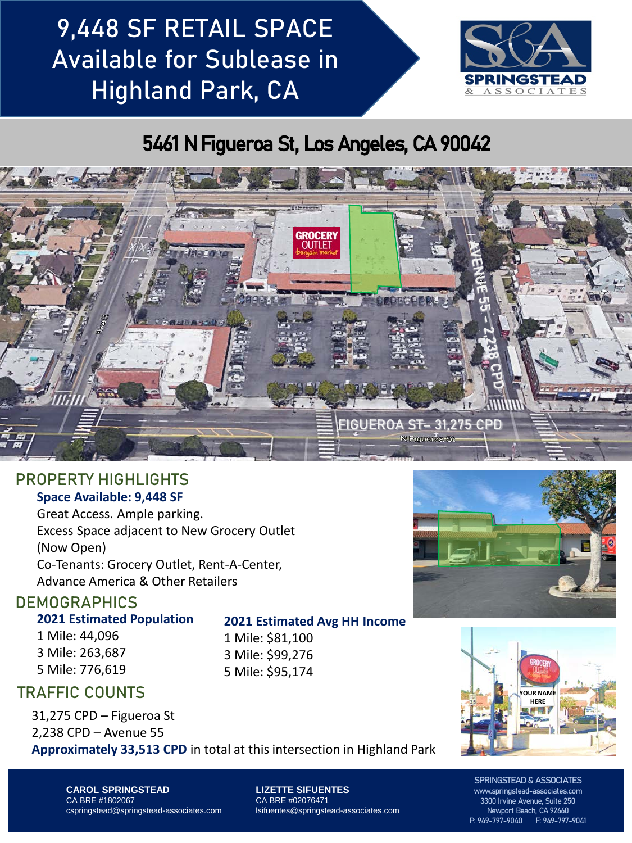# 9,448 SF RETAIL SPACE Available for Sublease in Highland Park, CA



## 5461 N Figueroa St, Los Angeles, CA 90042



### PROPERTY HIGHLIGHTS **Space Available: 9,448 SF**

Great Access. Ample parking. Excess Space adjacent to New Grocery Outlet (Now Open) Co-Tenants: Grocery Outlet, Rent-A-Center, Advance America & Other Retailers

### **DEMOGRAPHICS**

#### **2021 Estimated Population**

1 Mile: 44,096 3 Mile: 263,687 5 Mile: 776,619

### **2021 Estimated Avg HH Income**

1 Mile: \$81,100 3 Mile: \$99,276 5 Mile: \$95,174

### TRAFFIC COUNTS

31,275 CPD – Figueroa St 2,238 CPD – Avenue 55

**Approximately 33,513 CPD** in total at this intersection in Highland Park





**CAROL SPRINGSTEAD** CA BRE #1802067 cspringstead@springstead-associates.com **LIZETTE SIFUENTES** CA BRE #02076471 lsifuentes@springstead-associates.com

SPRINGSTEAD & ASSOCIATES www.springstead-associates.com 3300 Irvine Avenue, Suite 250 Newport Beach, CA 92660 P: 949-797-9040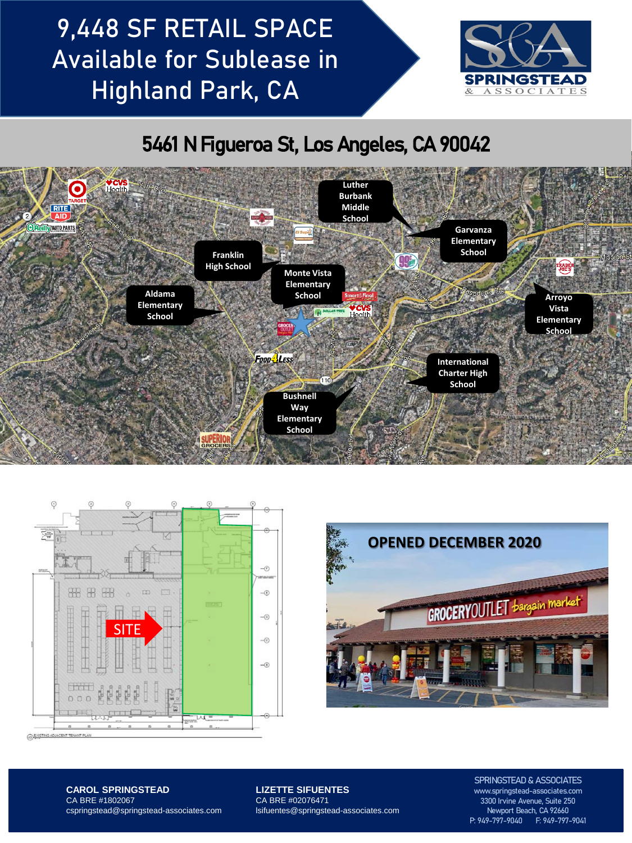# 9,448 SF RETAIL SPACE Available for Sublease in Highland Park, CA



## 5461 N Figueroa St, Los Angeles, CA 90042







**CAROL SPRINGSTEAD** CA BRE #1802067 cspringstead@springstead-associates.com **LIZETTE SIFUENTES** CA BRE #02076471 lsifuentes@springstead-associates.com

SPRINGSTEAD & ASSOCIATES www.springstead-associates.com 3300 Irvine Avenue, Suite 250 Newport Beach, CA 92660 P: 949-797-9040